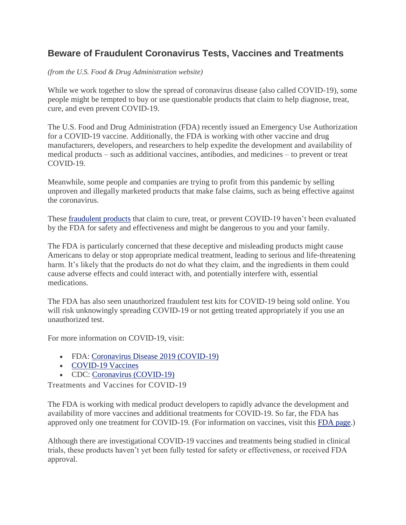## **Beware of Fraudulent Coronavirus Tests, Vaccines and Treatments**

*(from the U.S. Food & Drug Administration website)*

While we work together to slow the spread of coronavirus disease (also called COVID-19), some people might be tempted to buy or use questionable products that claim to help diagnose, treat, cure, and even prevent COVID-19.

The U.S. Food and Drug Administration (FDA) recently issued an Emergency Use Authorization for a COVID-19 vaccine. Additionally, the FDA is working with other vaccine and drug manufacturers, developers, and researchers to help expedite the development and availability of medical products – such as additional vaccines, antibodies, and medicines – to prevent or treat COVID-19.

Meanwhile, some people and companies are trying to profit from this pandemic by selling unproven and illegally marketed products that make false claims, such as being effective against the coronavirus.

These [fraudulent products](https://www.fda.gov/consumers/health-fraud-scams/fraudulent-coronavirus-disease-2019-covid-19-products) that claim to cure, treat, or prevent COVID-19 haven't been evaluated by the FDA for safety and effectiveness and might be dangerous to you and your family.

The FDA is particularly concerned that these deceptive and misleading products might cause Americans to delay or stop appropriate medical treatment, leading to serious and life-threatening harm. It's likely that the products do not do what they claim, and the ingredients in them could cause adverse effects and could interact with, and potentially interfere with, essential medications.

The FDA has also seen unauthorized fraudulent test kits for COVID-19 being sold online. You will risk unknowingly spreading COVID-19 or not getting treated appropriately if you use an unauthorized test.

For more information on COVID-19, visit:

- FDA: [Coronavirus Disease 2019 \(COVID-19\)](https://www.fda.gov/emergency-preparedness-and-response/mcm-issues/coronavirus-disease-2019-covid-19)
- [COVID-19 Vaccines](https://www.fda.gov/emergency-preparedness-and-response/coronavirus-disease-2019-covid-19/covid-19-vaccines)
- CDC: [Coronavirus \(COVID-19\)](https://www.cdc.gov/coronavirus/2019-ncov/index.html)

Treatments and Vaccines for COVID-19

The FDA is working with medical product developers to rapidly advance the development and availability of more vaccines and additional treatments for COVID-19. So far, the FDA has approved only one treatment for COVID-19. (For information on vaccines, visit this [FDA page.](https://www.fda.gov/emergency-preparedness-and-response/coronavirus-disease-2019-covid-19/covid-19-vaccines))

Although there are investigational COVID-19 vaccines and treatments being studied in clinical trials, these products haven't yet been fully tested for safety or effectiveness, or received FDA approval.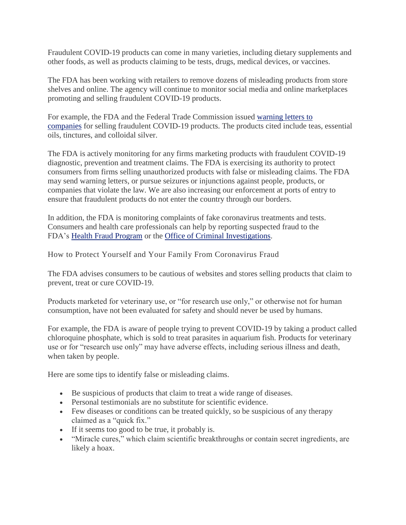Fraudulent COVID-19 products can come in many varieties, including dietary supplements and other foods, as well as products claiming to be tests, drugs, medical devices, or vaccines.

The FDA has been working with retailers to remove dozens of misleading products from store shelves and online. The agency will continue to monitor social media and online marketplaces promoting and selling fraudulent COVID-19 products.

For example, the FDA and the Federal Trade Commission issued [warning letters to](https://www.fda.gov/news-events/press-announcements/coronavirus-update-fda-and-ftc-warn-seven-companies-selling-fraudulent-products-claim-treat-or)  [companies](https://www.fda.gov/news-events/press-announcements/coronavirus-update-fda-and-ftc-warn-seven-companies-selling-fraudulent-products-claim-treat-or) for selling fraudulent COVID-19 products. The products cited include teas, essential oils, tinctures, and colloidal silver.

The FDA is actively monitoring for any firms marketing products with fraudulent COVID-19 diagnostic, prevention and treatment claims. The FDA is exercising its authority to protect consumers from firms selling unauthorized products with false or misleading claims. The FDA may send warning letters, or pursue seizures or injunctions against people, products, or companies that violate the law. We are also increasing our enforcement at ports of entry to ensure that fraudulent products do not enter the country through our borders.

In addition, the FDA is monitoring complaints of fake coronavirus treatments and tests. Consumers and health care professionals can help by reporting suspected fraud to the FDA's [Health Fraud Program](https://www.fda.gov/safety/report-problem-fda/reporting-unlawful-sales-medical-products-internet) or the [Office of Criminal Investigations.](https://www.accessdata.fda.gov/scripts/email/oc/oci/contact.cfm)

How to Protect Yourself and Your Family From Coronavirus Fraud

The FDA advises consumers to be cautious of websites and stores selling products that claim to prevent, treat or cure COVID-19.

Products marketed for veterinary use, or "for research use only," or otherwise not for human consumption, have not been evaluated for safety and should never be used by humans.

For example, the FDA is aware of people trying to prevent COVID-19 by taking a product called chloroquine phosphate, which is sold to treat parasites in aquarium fish. Products for veterinary use or for "research use only" may have adverse effects, including serious illness and death, when taken by people.

Here are some tips to identify false or misleading claims.

- Be suspicious of products that claim to treat a wide range of diseases.
- Personal testimonials are no substitute for scientific evidence.
- Few diseases or conditions can be treated quickly, so be suspicious of any therapy claimed as a "quick fix."
- If it seems too good to be true, it probably is.
- "Miracle cures," which claim scientific breakthroughs or contain secret ingredients, are likely a hoax.